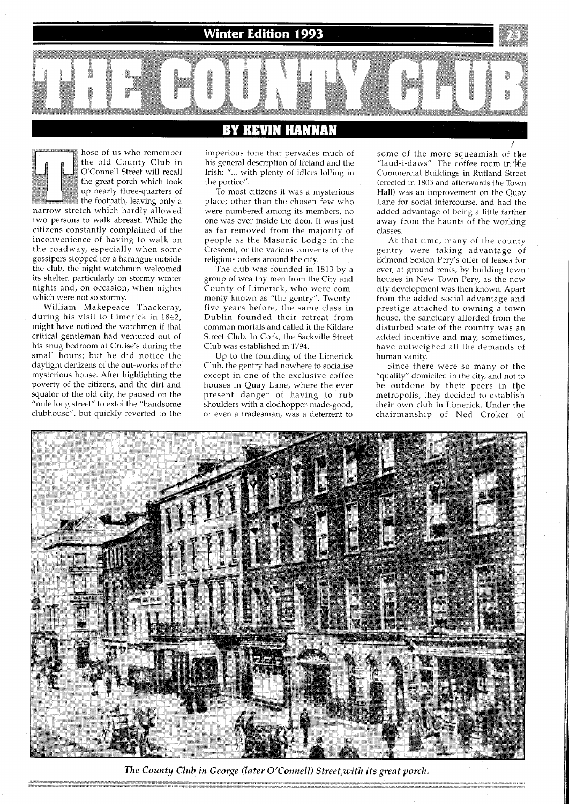Winter Edition 1993



hose of us who remember the old County Club in<br>
O'Connell Street will recall the great porch which took up nearly three-quarters of

the footpath, leaving only a narrow stretch which hardly allowed two persons to walk abreast. While the citizens constantly complained of the inconvenience of having to walk on the roadway, especially when some gossipers stopped for a harangue outside the club, the mght watchmen welcomed its shelter, particularly on stormy winter nights and, on occasion, when nights which were not so stormy.

Wllliam Makepeace Thackeray, during his visit to Limerick in 1842, might have noticed the watchmen if that critical gentleman had ventured out of his snug bedroom at Cruise's during the small hours; but he did notice the daylight denizens of the out-works of the mysterious house. After highlighting the poverty of the citizens, and the dirt and squalor of the old city, he paused on the "mile long street" to extol the "handsome clubhouse", but quickly reverted to the

## KEVIN HANNAN

imperious tone that pervades much of his general description of Ireland and the Irish: "... with plenty of idlers lolling in the portico".

To most citizens it was a mysterious place; other than the chosen few who were numbered among its members, no one was ever inside the door. It was just as far removed from the majority of people as the Masonic Lodge in the Crescent, or the various convents of the religious orders around the city.

The club was founded in 1813 by a group of wealthy men from the City and County of Limerick, who were commonly known as "the gentry". Twentyfive years before, the same class in Dublin founded their retreat from common mortals and called it the Kildare Street Club. In Cork, the Sackville Street Club was established in 1794.

Up to the founding of the Limerick Club, the gentry had nowhere to socialise except in one of the exclusive coffee houses in Quay Lane, where the ever present danger of having to rub shoulders with a clodhopper-made-good, or even a tradesman, was a deterrent to

i some of the more squeamish of the "laud-i-daws". The coffee room in  $\ddot{b}$ he Commercial Buildings in Rutland Street (erected in 1805 and afterwards the Town Hall) was an improvement on the Quay Lane for social intercourse, and had the added advantage of being a little farther away from the haunts of the working classes.

At that time, many of the county gentry were taking advantage of Edmond Sexton Pery's offer of leases for ever, at ground rents, by building town houses in New Town Pery, as the new city development was then known. Apart from the added social advantage and prestige attached to owning a town house, the sanctuary afforded from the disturbed state of the country was an added incentive and may, sometimes, have outweighed all the demands of human vanity.

Since there were so many of the "quality" domiciled in the city, and not to be outdone by their peers in the metropolis, they decided to establish their own club in Limerick. Under the chairmanship of Ned Croker of



The County Club in George (later O'Connell) Street, with its great porch.